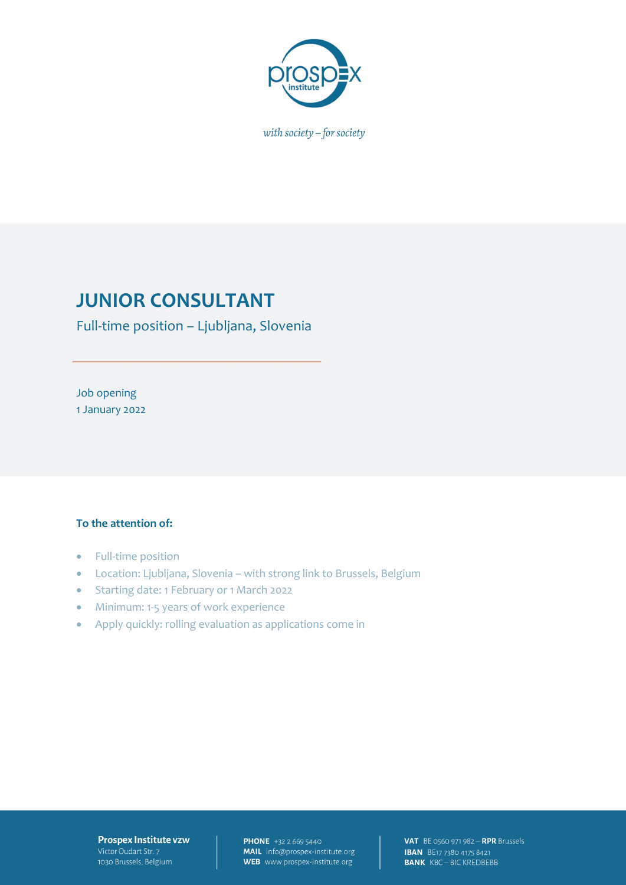

with society  $-$  for society

# **JUNIOR CONSULTANT**

Full-time position – Ljubljana, Slovenia

Job opening 1 January 2022

#### **To the attention of:**

- Full-time position
- Location: Ljubljana, Slovenia with strong link to Brussels, Belgium
- Starting date: 1 February or 1 March 2022
- Minimum: 1-5 years of work experience
- Apply quickly: rolling evaluation as applications come in

#### **Prospex Institute vzw** Victor Oudart Str. 7 1030 Brussels, Belgium

**PHONE** +32 2 669 5440 MAIL info@prospex-institute.org WEB www.prospex-institute.org

**VAT** BE 0560 971 982 - RPR Brussels **IBAN** BE17 7380 4175 8421 **BANK** KBC-BIC KREDBEBB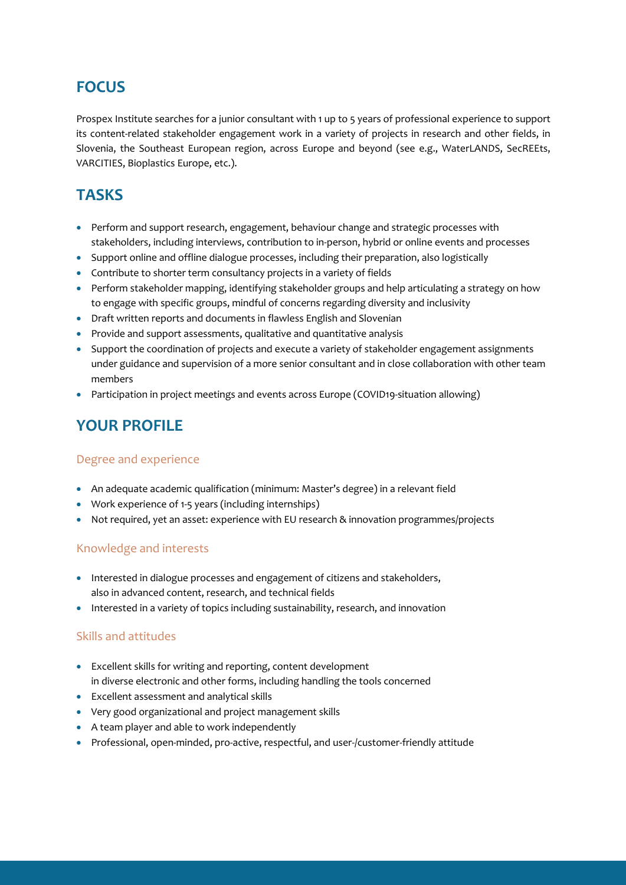## **FOCUS**

Prospex Institute searches for a junior consultant with 1 up to 5 years of professional experience to support its content-related stakeholder engagement work in a variety of projects in research and other fields, in Slovenia, the Southeast European region, across Europe and beyond (see e.g., WaterLANDS, SecREEts, VARCITIES, Bioplastics Europe, etc.).

### **TASKS**

- Perform and support research, engagement, behaviour change and strategic processes with stakeholders, including interviews, contribution to in-person, hybrid or online events and processes
- Support online and offline dialogue processes, including their preparation, also logistically
- Contribute to shorter term consultancy projects in a variety of fields
- Perform stakeholder mapping, identifying stakeholder groups and help articulating a strategy on how to engage with specific groups, mindful of concerns regarding diversity and inclusivity
- Draft written reports and documents in flawless English and Slovenian
- Provide and support assessments, qualitative and quantitative analysis
- Support the coordination of projects and execute a variety of stakeholder engagement assignments under guidance and supervision of a more senior consultant and in close collaboration with other team members
- Participation in project meetings and events across Europe (COVID19-situation allowing)

### **YOUR PROFILE**

#### Degree and experience

- An adequate academic qualification (minimum: Master's degree) in a relevant field
- Work experience of 1-5 years (including internships)
- Not required, yet an asset: experience with EU research & innovation programmes/projects

### Knowledge and interests

- Interested in dialogue processes and engagement of citizens and stakeholders, also in advanced content, research, and technical fields
- Interested in a variety of topics including sustainability, research, and innovation

### Skills and attitudes

- Excellent skills for writing and reporting, content development in diverse electronic and other forms, including handling the tools concerned
- Excellent assessment and analytical skills
- Very good organizational and project management skills
- A team player and able to work independently
- Professional, open-minded, pro-active, respectful, and user-/customer-friendly attitude